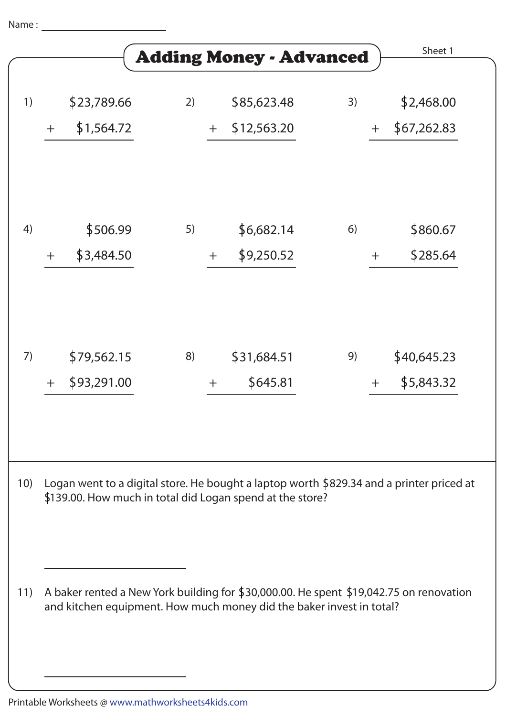Name :

|     |       |                            |    |       | <b>Adding Money - Advanced</b>                                       |    |       | Sheet 1                                                                                  |  |
|-----|-------|----------------------------|----|-------|----------------------------------------------------------------------|----|-------|------------------------------------------------------------------------------------------|--|
| 1)  | $+$   | \$23,789.66<br>\$1,564.72  | 2) | $+$   | \$85,623.48<br>\$12,563.20                                           | 3) | $+$   | \$2,468.00<br>\$67,262.83                                                                |  |
| 4)  | $\pm$ | \$506.99<br>\$3,484.50     | 5) | $+$   | \$6,682.14<br>\$9,250.52                                             | 6) | $\pm$ | \$860.67<br>\$285.64                                                                     |  |
| 7)  | $+$   | \$79,562.15<br>\$93,291.00 | 8) | $\pm$ | \$31,684.51<br>\$645.81                                              | 9) | $\pm$ | \$40,645.23<br>\$5,843.32                                                                |  |
| 10) |       |                            |    |       | \$139.00. How much in total did Logan spend at the store?            |    |       | Logan went to a digital store. He bought a laptop worth \$829.34 and a printer priced at |  |
| 11) |       |                            |    |       | and kitchen equipment. How much money did the baker invest in total? |    |       | A baker rented a New York building for \$30,000.00. He spent \$19,042.75 on renovation   |  |

Printable Worksheets @ www.mathworksheets4kids.com